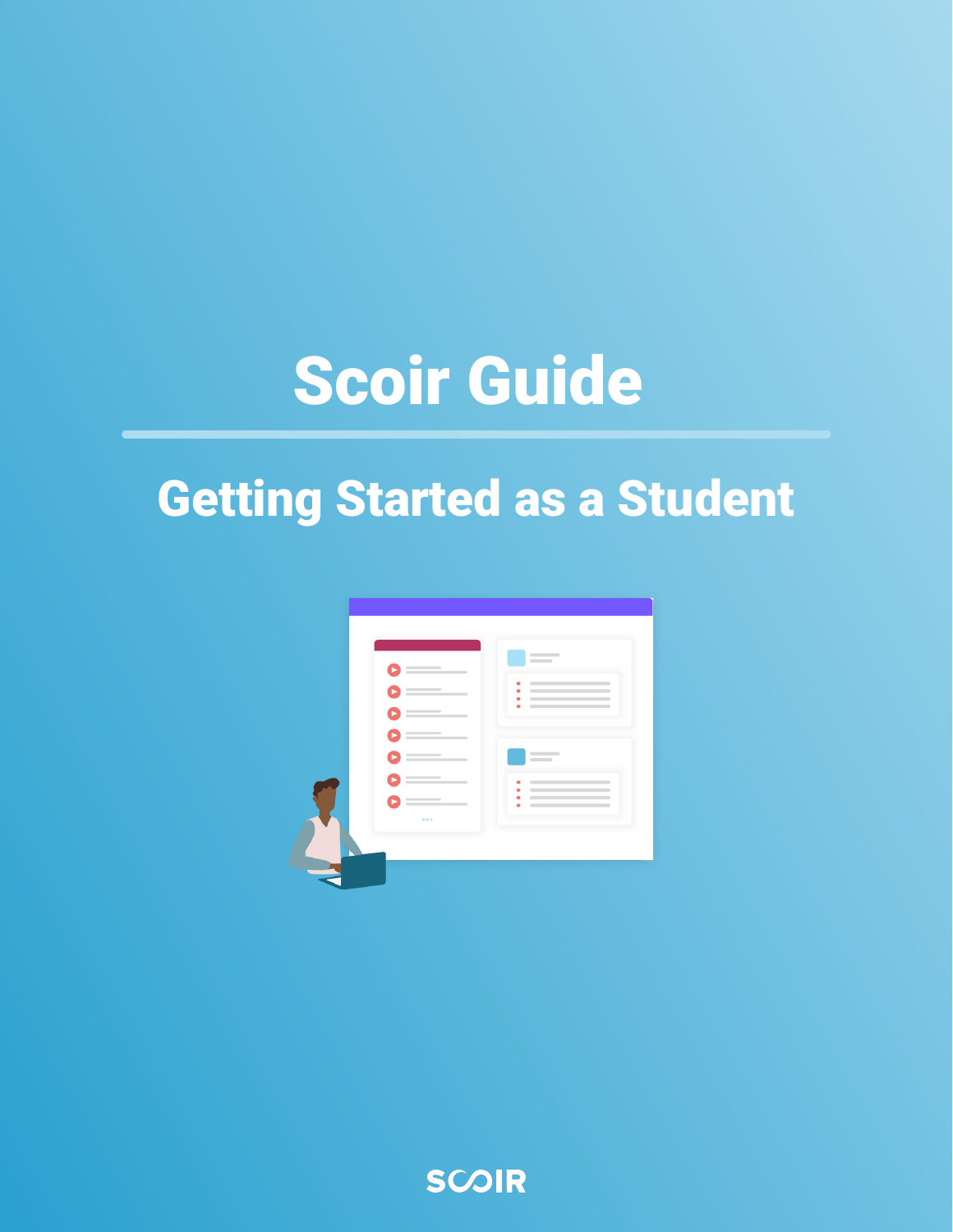### Scoir Guide

### Getting Started as a Student



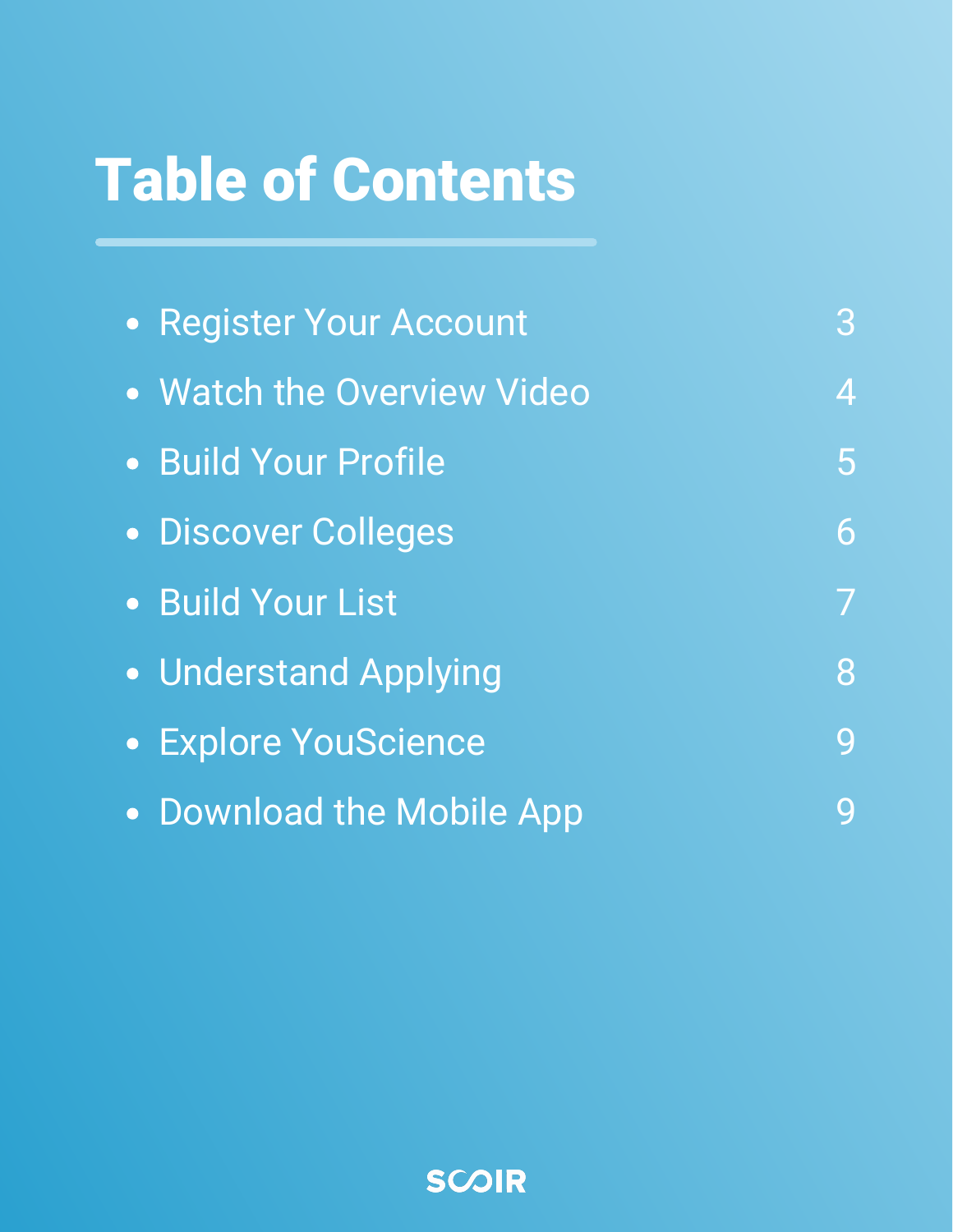### Table of Contents

| • Register Your Account    | 3              |
|----------------------------|----------------|
| • Watch the Overview Video | 4              |
| · Build Your Profile       | 5 <sup>1</sup> |
| · Discover Colleges        | 6              |
| · Build Your List          |                |
| • Understand Applying      | 8              |
| • Explore YouScience       | 9              |
| • Download the Mobile App  | Q              |

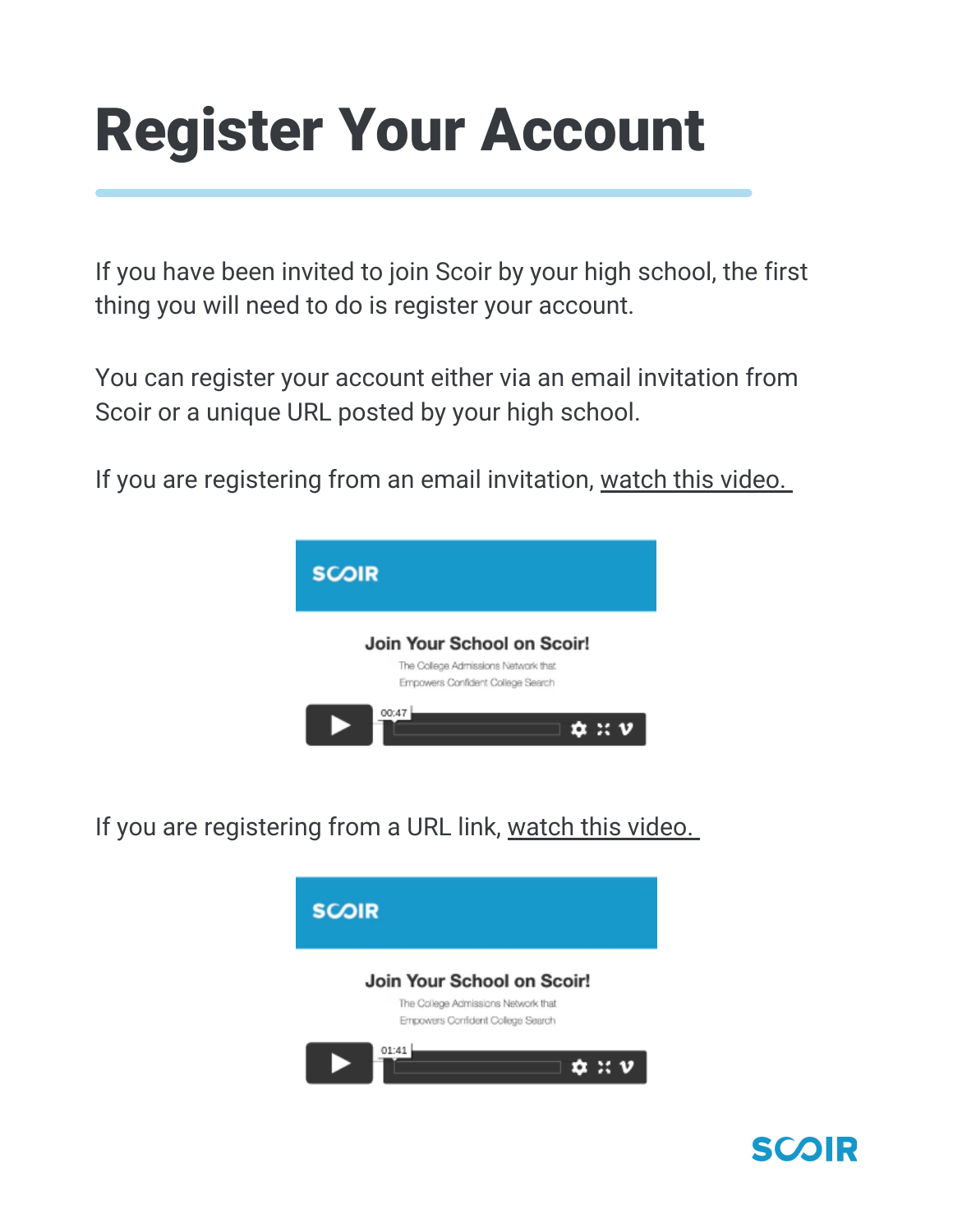### Register Your Account

If you have been invited to join Scoir by your high school, the first thing you will need to do is register your account.

You can register your account either via an email invitation from Scoir or a unique URL posted by your high school.

If you are registering from an email invitation, [watch](https://vimeo.com/511753289) this video[.](https://vimeo.com/511753289)



If you are registering from a URL link, [watch](https://vimeo.com/511768255) this video.



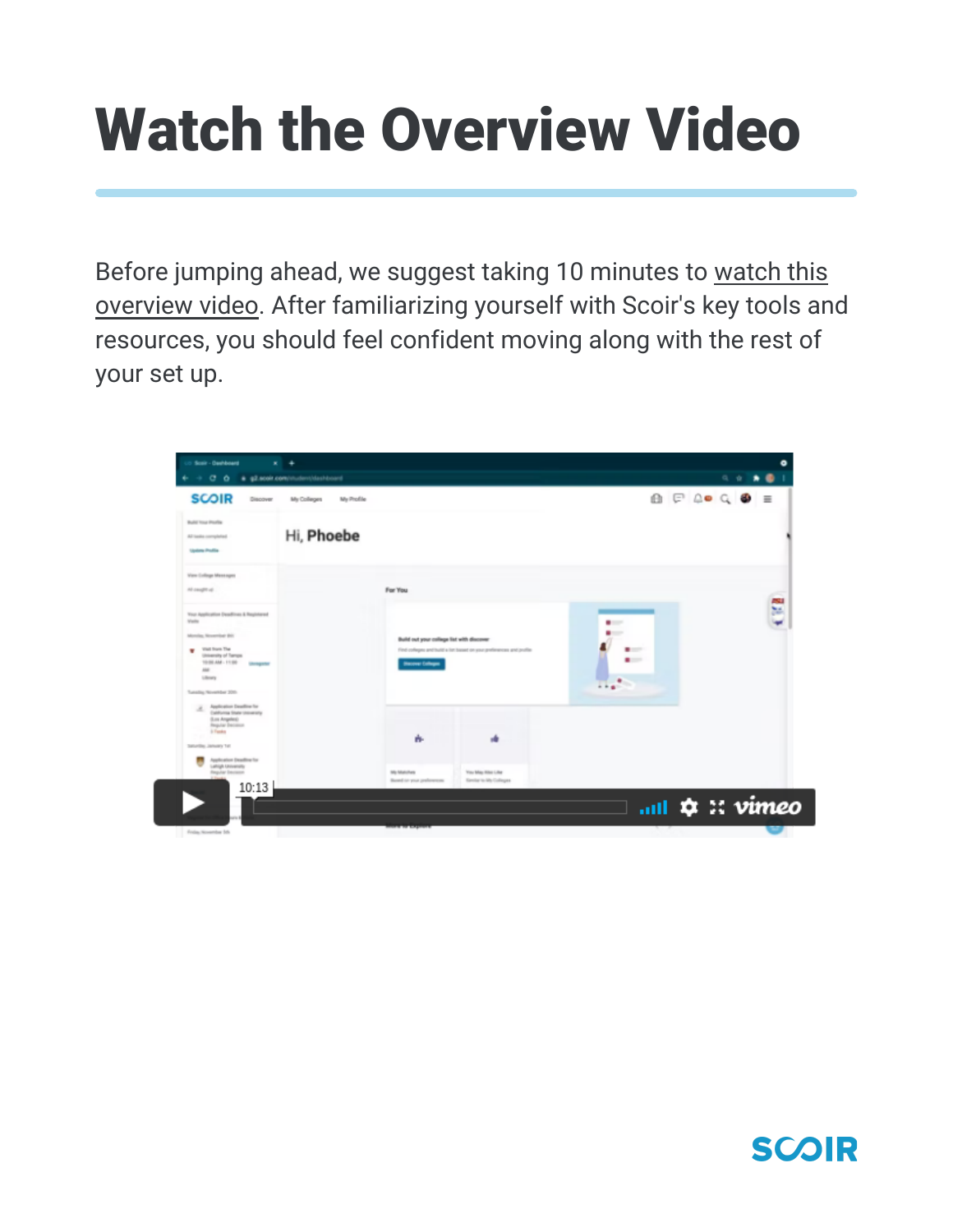## Watch the Overview Video

Before jumping ahead, we suggest taking 10 minutes to watch this overview video. After [familiarizing](https://vimeo.com/642109077) yourself with Scoir's key tools and resources, you should feel confident moving along with the rest of your set up.



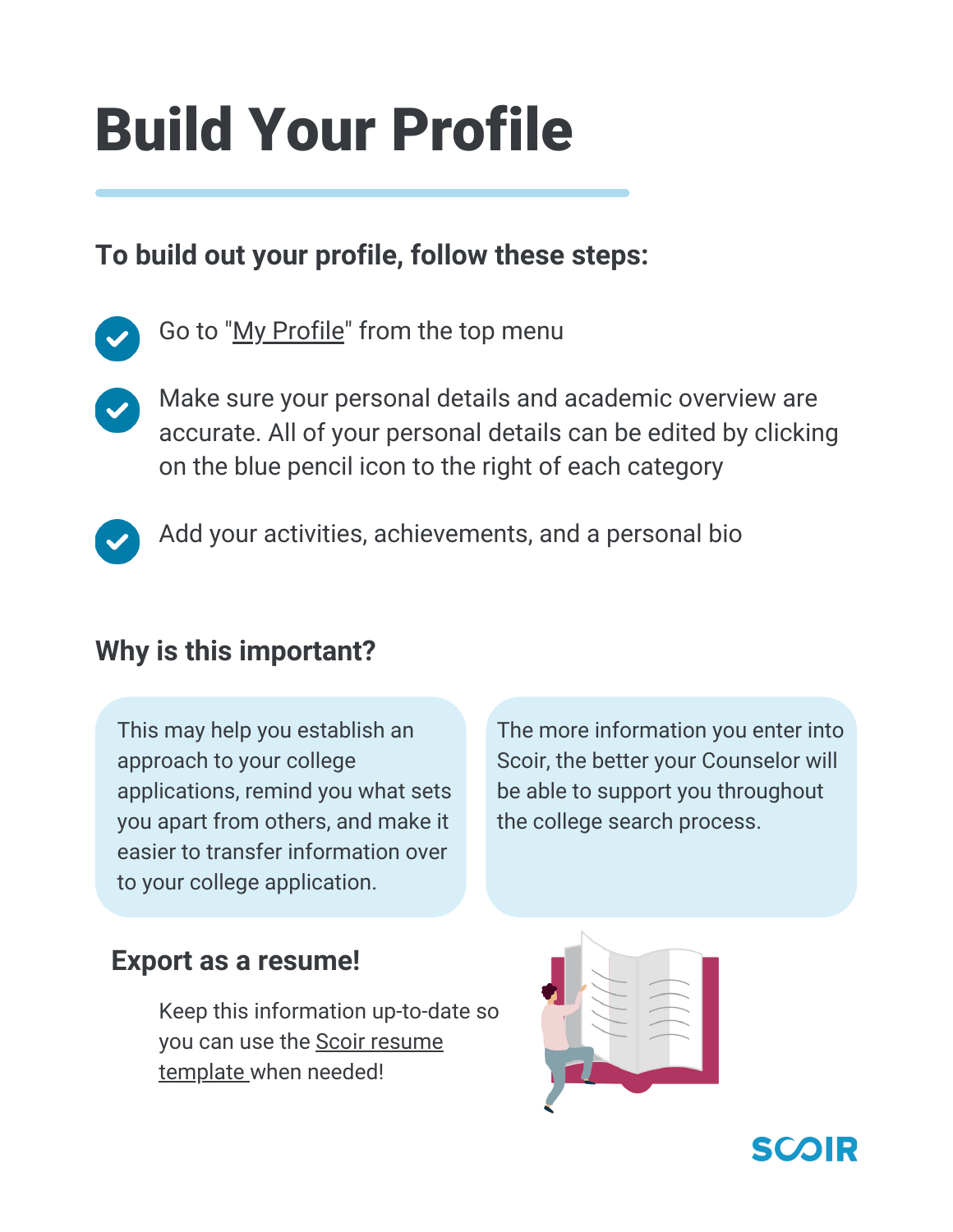## Build Your Profile

#### **To build out your profile, follow these steps:**

- Go to "My [Profile](https://scoir.helpdocs.io/category/gvbxxfu70g-completing-your-profile)" from the top menu
- Make sure your personal details and academic overview are accurate. All of your personal details can be edited by clicking on the blue pencil icon to the right of each category
- 

Add your activities, achievements, and a personal bio

#### **Why is this important?**

This may help you establish an approach to your college applications, remind you what sets you apart from others, and make it easier to transfer information over to your college application.

The more information you enter into Scoir, the better your Counselor will be able to support you throughout the college search process.

#### **Export as a resume!**

Keep this information up-to-date so you can use the Scoir resume [template](https://scoir.helpdocs.io/article/thrcjtnpj9-create-a-resume) when needed!



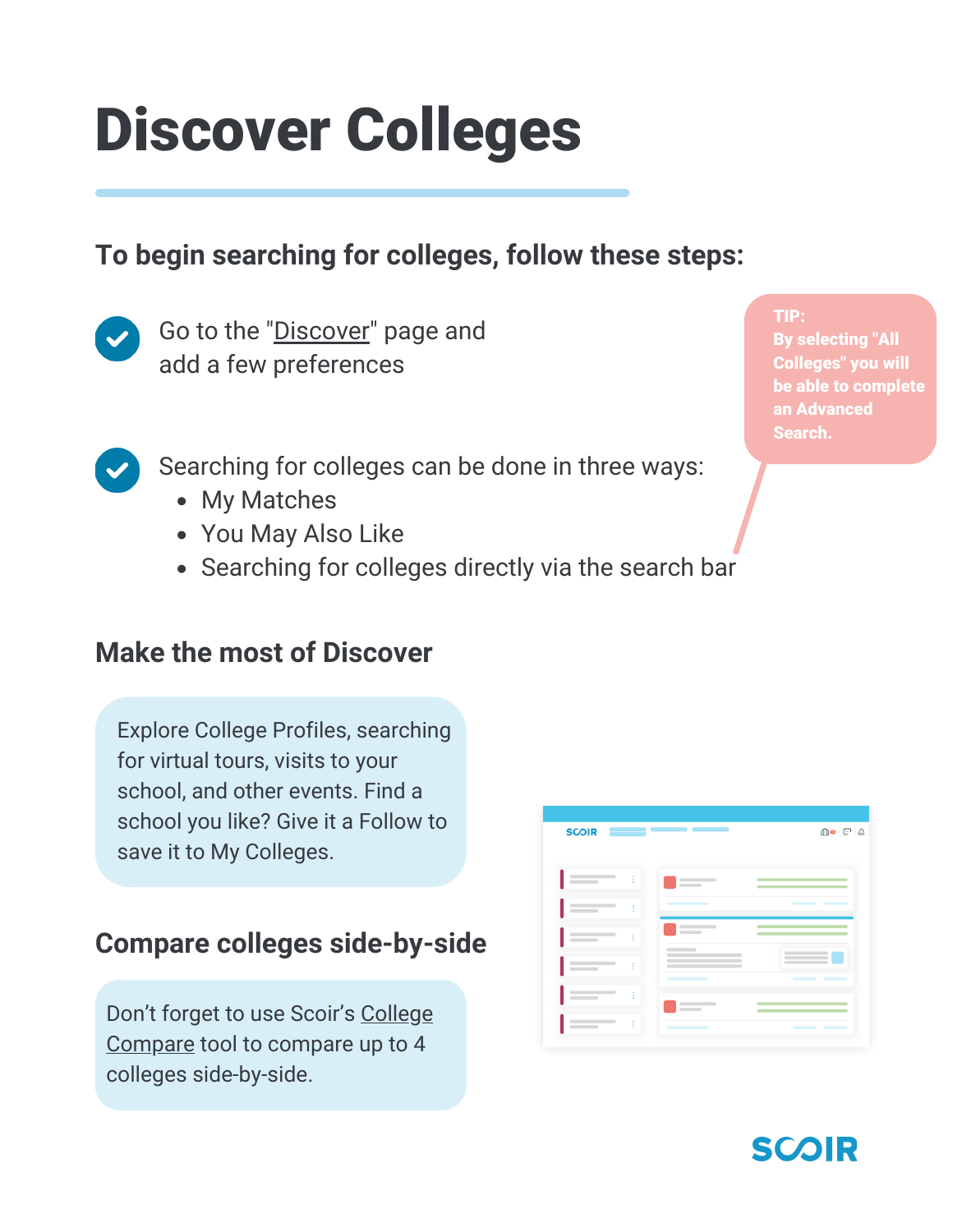### Discover Colleges

#### **To begin searching for colleges, follow these steps:**



Go to the "[Discover"](https://scoir.helpdocs.io/article/51dwlyovnk-for-students-discover-colleges) page and add a few preferences

- Searching for colleges can be done in three ways:
	- My Matches
	- You May Also Like
	- Searching for colleges directly via the search bar

#### **Make the most of Discover**

Explore College Profiles, searching for virtual tours, visits to your school, and other events. Find a school you like? Give it a Follow to save it to My Colleges.

#### **Compare colleges side-by-side**

Don't forget to use Scoir's College [Compare](https://scoir.helpdocs.io/article/dajm72zb3k-college-compare) tool to compare up to 4 colleges side-by-side.

| <b>SCOIR</b>       | _____                                     | <b>fie</b> FA    |
|--------------------|-------------------------------------------|------------------|
| ÷                  | $\overline{\phantom{a}}$                  |                  |
| ŧ<br>$\sim$ $\sim$ |                                           | $\sim$<br>$\sim$ |
| ŧ                  | $\overline{\phantom{a}}$                  |                  |
| ŧ                  | $\sim$ $\sim$ $\sim$ $\sim$ $\sim$ $\sim$ | $\sim$           |
| ٠<br>÷             | $\frac{1}{2}$                             |                  |
| ŧ                  | ______<br>٠                               | œ<br>$\equiv$    |



TIP: By selecting "All Colleges" you will be able to complete an Advanced Search.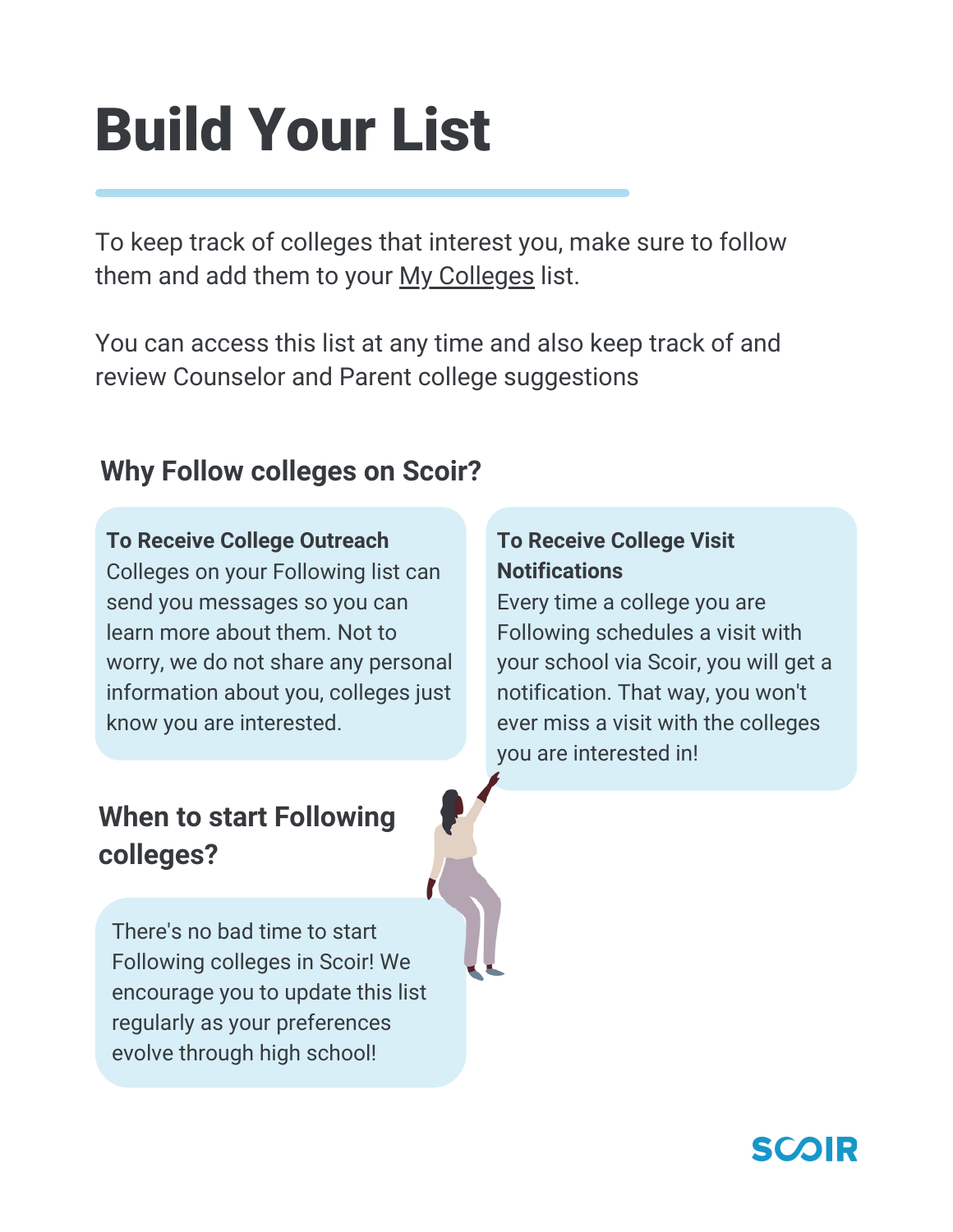## Build Your List

To keep track of colleges that interest you, make sure to follow them and add them to your My [Colleges](https://scoir.helpdocs.io/article/w8ezgqbmu5-for-students-what-following-a-college) list.

You can access this list at any time and also keep track of and review Counselor and Parent college suggestions

#### **Why Follow colleges on Scoir?**

#### **To Receive College Outreach**

Colleges on your Following list can send you messages so you can learn more about them. Not to worry, we do not share any personal information about you, colleges just know you are interested.

#### **When to start Following colleges?**

There's no bad time to start Following colleges in Scoir! We encourage you to update this list regularly as your preferences evolve through high school!

#### **To Receive College Visit Notifications**

Every time a college you are Following schedules a visit with your school via Scoir, you will get a notification. That way, you won't ever miss a visit with the colleges you are interested in!

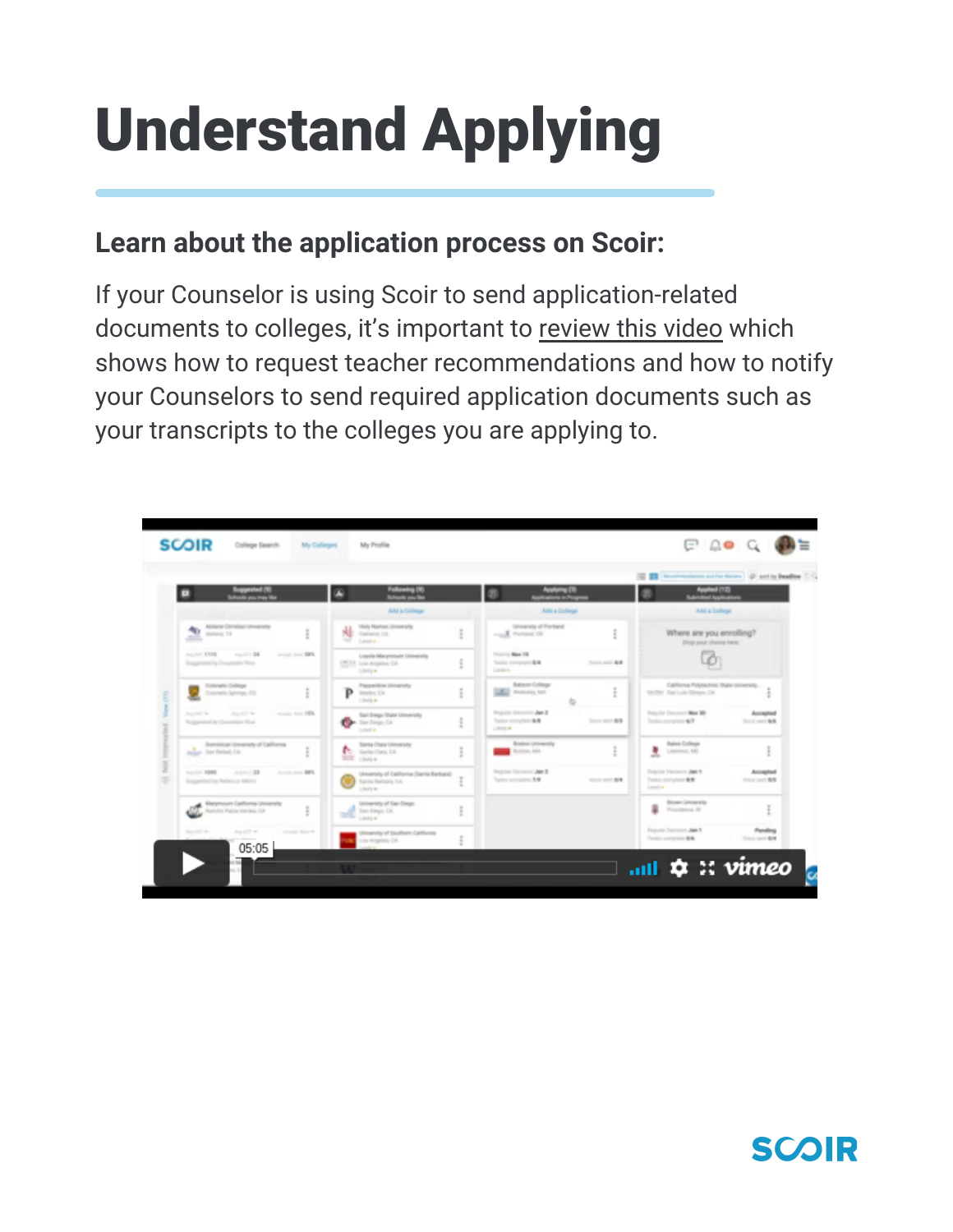# Understand Applying

#### **Learn about the application process on Scoir:**

If your Counselor is using Scoir to send application-related documents to colleges, it's important to [review](https://vimeo.com/407576336) this video which shows how to request teacher recommendations and how to notify your Counselors to send required application documents such as your transcripts to the colleges you are applying to.



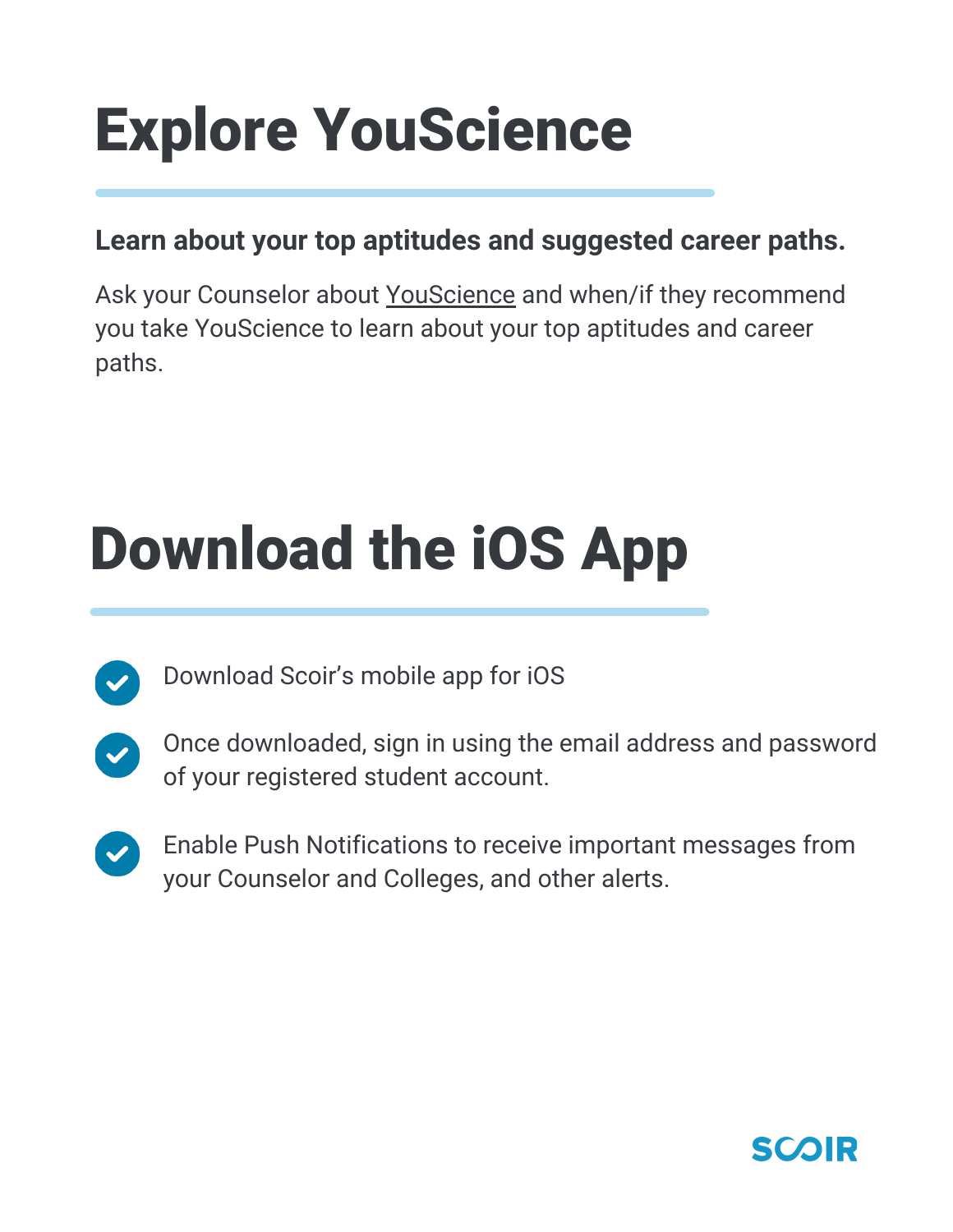### Explore YouScience

#### **Learn about your top aptitudes and suggested career paths.**

Ask your Counselor about [YouScience](https://vimeo.com/408039102/1a6a47b1a4) and when/if they recommend you take YouScience to learn about your top aptitudes and career paths.

### Download the iOS App



Download Scoir's mobile app for iOS



- Once downloaded, sign in using the email address and password of your registered student account.
- Enable Push Notifications to receive important messages from your Counselor and Colleges, and other alerts.